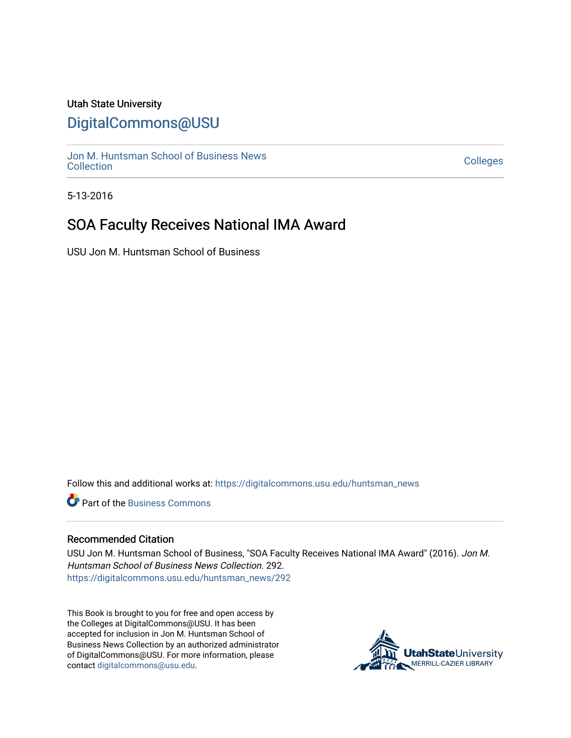## <span id="page-0-0"></span>Utah State University

# [DigitalCommons@USU](https://digitalcommons.usu.edu/)

[Jon M. Huntsman School of Business News](https://digitalcommons.usu.edu/huntsman_news)  Soft M. Huntsman School of Business News<br>[Collection](https://digitalcommons.usu.edu/huntsman_news) Colleges

5-13-2016

# SOA Faculty Receives National IMA Award

USU Jon M. Huntsman School of Business

Follow this and additional works at: [https://digitalcommons.usu.edu/huntsman\\_news](https://digitalcommons.usu.edu/huntsman_news?utm_source=digitalcommons.usu.edu%2Fhuntsman_news%2F292&utm_medium=PDF&utm_campaign=PDFCoverPages) 

**C** Part of the [Business Commons](http://network.bepress.com/hgg/discipline/622?utm_source=digitalcommons.usu.edu%2Fhuntsman_news%2F292&utm_medium=PDF&utm_campaign=PDFCoverPages)

#### Recommended Citation

USU Jon M. Huntsman School of Business, "SOA Faculty Receives National IMA Award" (2016). Jon M. Huntsman School of Business News Collection. 292. [https://digitalcommons.usu.edu/huntsman\\_news/292](https://digitalcommons.usu.edu/huntsman_news/292?utm_source=digitalcommons.usu.edu%2Fhuntsman_news%2F292&utm_medium=PDF&utm_campaign=PDFCoverPages) 

This Book is brought to you for free and open access by the Colleges at DigitalCommons@USU. It has been accepted for inclusion in Jon M. Huntsman School of Business News Collection by an authorized administrator of DigitalCommons@USU. For more information, please contact [digitalcommons@usu.edu](mailto:digitalcommons@usu.edu).